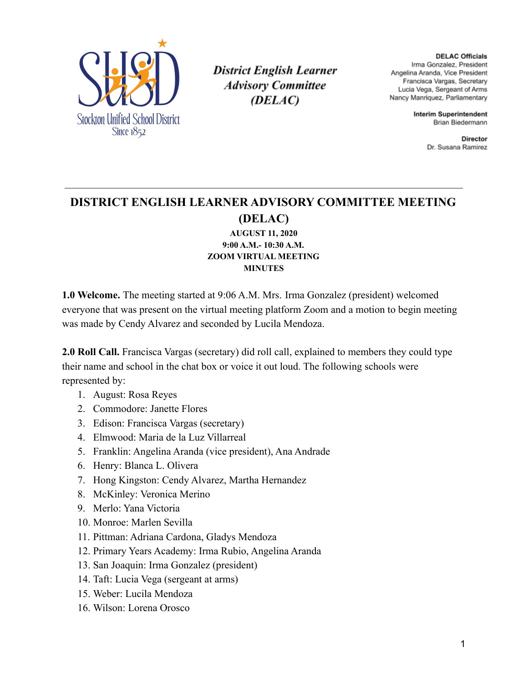

**District English Learner Advisory Committee** (DELAC)

**DELAC Officials** Irma Gonzalez, President Angelina Aranda, Vice President Francisca Vargas, Secretary Lucia Vega, Sergeant of Arms Nancy Manriquez, Parliamentary

> **Interim Superintendent** Brian Biedermann

> > Director Dr. Susana Ramirez

## **DISTRICT ENGLISH LEARNER ADVISORY COMMITTEE MEETING (DELAC)**

**AUGUST 11, 2020 9:00 A.M.- 10:30 A.M. ZOOM VIRTUAL MEETING MINUTES**

**1.0 Welcome.** The meeting started at 9:06 A.M. Mrs. Irma Gonzalez (president) welcomed everyone that was present on the virtual meeting platform Zoom and a motion to begin meeting was made by Cendy Alvarez and seconded by Lucila Mendoza.

**2.0 Roll Call.** Francisca Vargas (secretary) did roll call, explained to members they could type their name and school in the chat box or voice it out loud. The following schools were represented by:

- 1. August: Rosa Reyes
- 2. Commodore: Janette Flores
- 3. Edison: Francisca Vargas (secretary)
- 4. Elmwood: Maria de la Luz Villarreal
- 5. Franklin: Angelina Aranda (vice president), Ana Andrade
- 6. Henry: Blanca L. Olivera
- 7. Hong Kingston: Cendy Alvarez, Martha Hernandez
- 8. McKinley: Veronica Merino
- 9. Merlo: Yana Victoria
- 10. Monroe: Marlen Sevilla
- 11. Pittman: Adriana Cardona, Gladys Mendoza
- 12. Primary Years Academy: Irma Rubio, Angelina Aranda
- 13. San Joaquin: Irma Gonzalez (president)
- 14. Taft: Lucia Vega (sergeant at arms)
- 15. Weber: Lucila Mendoza
- 16. Wilson: Lorena Orosco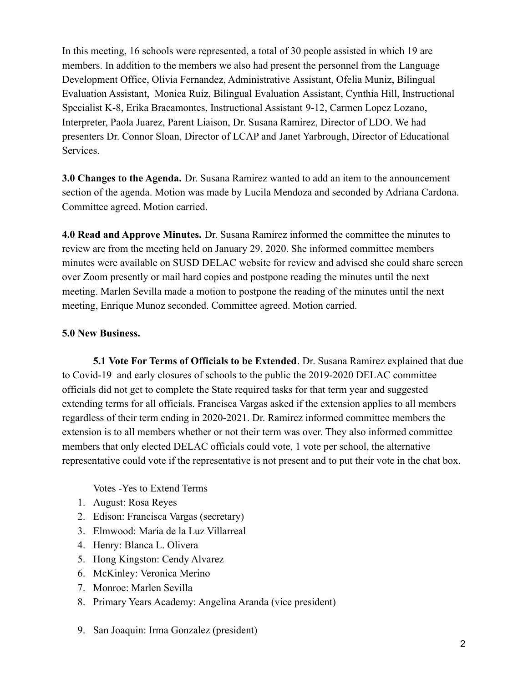In this meeting, 16 schools were represented, a total of 30 people assisted in which 19 are members. In addition to the members we also had present the personnel from the Language Development Office, Olivia Fernandez, Administrative Assistant, Ofelia Muniz, Bilingual Evaluation Assistant, Monica Ruiz, Bilingual Evaluation Assistant, Cynthia Hill, Instructional Specialist K-8, Erika Bracamontes, Instructional Assistant 9-12, Carmen Lopez Lozano, Interpreter, Paola Juarez, Parent Liaison, Dr. Susana Ramirez, Director of LDO. We had presenters Dr. Connor Sloan, Director of LCAP and Janet Yarbrough, Director of Educational Services.

**3.0 Changes to the Agenda.** Dr. Susana Ramirez wanted to add an item to the announcement section of the agenda. Motion was made by Lucila Mendoza and seconded by Adriana Cardona. Committee agreed. Motion carried.

**4.0 Read and Approve Minutes.** Dr. Susana Ramirez informed the committee the minutes to review are from the meeting held on January 29, 2020. She informed committee members minutes were available on SUSD DELAC website for review and advised she could share screen over Zoom presently or mail hard copies and postpone reading the minutes until the next meeting. Marlen Sevilla made a motion to postpone the reading of the minutes until the next meeting, Enrique Munoz seconded. Committee agreed. Motion carried.

## **5.0 New Business.**

**5.1 Vote For Terms of Officials to be Extended**. Dr. Susana Ramirez explained that due to Covid-19 and early closures of schools to the public the 2019-2020 DELAC committee officials did not get to complete the State required tasks for that term year and suggested extending terms for all officials. Francisca Vargas asked if the extension applies to all members regardless of their term ending in 2020-2021. Dr. Ramirez informed committee members the extension is to all members whether or not their term was over. They also informed committee members that only elected DELAC officials could vote, 1 vote per school, the alternative representative could vote if the representative is not present and to put their vote in the chat box.

Votes -Yes to Extend Terms

- 1. August: Rosa Reyes
- 2. Edison: Francisca Vargas (secretary)
- 3. Elmwood: Maria de la Luz Villarreal
- 4. Henry: Blanca L. Olivera
- 5. Hong Kingston: Cendy Alvarez
- 6. McKinley: Veronica Merino
- 7. Monroe: Marlen Sevilla
- 8. Primary Years Academy: Angelina Aranda (vice president)
- 9. San Joaquin: Irma Gonzalez (president)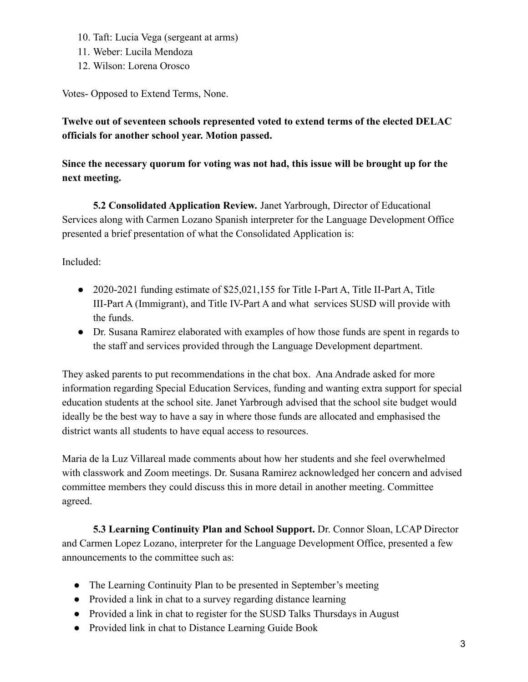- 10. Taft: Lucia Vega (sergeant at arms)
- 11. Weber: Lucila Mendoza
- 12. Wilson: Lorena Orosco

Votes- Opposed to Extend Terms, None.

**Twelve out of seventeen schools represented voted to extend terms of the elected DELAC officials for another school year. Motion passed.**

**Since the necessary quorum for voting was not had, this issue will be brought up for the next meeting.**

**5.2 Consolidated Application Review.** Janet Yarbrough, Director of Educational Services along with Carmen Lozano Spanish interpreter for the Language Development Office presented a brief presentation of what the Consolidated Application is:

Included:

- 2020-2021 funding estimate of \$25,021,155 for Title I-Part A, Title II-Part A, Title III-Part A (Immigrant), and Title IV-Part A and what services SUSD will provide with the funds.
- Dr. Susana Ramirez elaborated with examples of how those funds are spent in regards to the staff and services provided through the Language Development department.

They asked parents to put recommendations in the chat box. Ana Andrade asked for more information regarding Special Education Services, funding and wanting extra support for special education students at the school site. Janet Yarbrough advised that the school site budget would ideally be the best way to have a say in where those funds are allocated and emphasised the district wants all students to have equal access to resources.

Maria de la Luz Villareal made comments about how her students and she feel overwhelmed with classwork and Zoom meetings. Dr. Susana Ramirez acknowledged her concern and advised committee members they could discuss this in more detail in another meeting. Committee agreed.

**5.3 Learning Continuity Plan and School Support.** Dr. Connor Sloan, LCAP Director and Carmen Lopez Lozano, interpreter for the Language Development Office, presented a few announcements to the committee such as:

- The Learning Continuity Plan to be presented in September's meeting
- Provided a link in chat to a survey regarding distance learning
- Provided a link in chat to register for the SUSD Talks Thursdays in August
- Provided link in chat to Distance Learning Guide Book